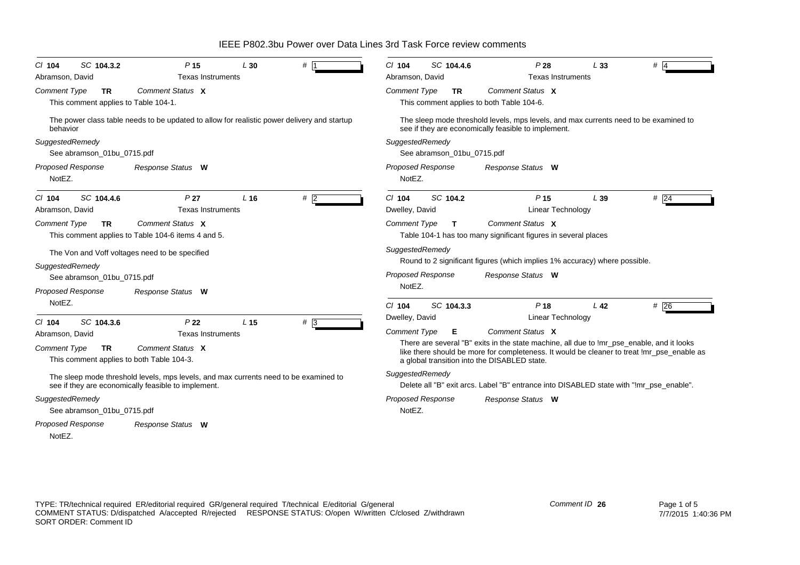*Proposed Response Cl* **104** *SC* **104.3.2** *P* **15** *L* **30** *#* 1*Comment Type* **TR** This comment applies to Table 104-1. The power class table needs to be updated to allow for realistic power delivery and startup behavior*SuggestedRemedy* See abramson\_01bu\_0715.pdf NotEZ.*Comment Status* **X***Response Status* **W** Abramson, David **Texas Instruments** *Proposed Response Cl* **104** *SC* **104.4.6** *P* **27** *L* **16** *#* 2*Comment Type* **TR** This comment applies to Table 104-6 items 4 and 5. The Von and Voff voltages need to be specified *SuggestedRemedy* See abramson\_01bu\_0715.pdf NotEZ.*Comment Status* **X***Response Status* **W** Abramson, David **Texas** Instruments *Proposed Response Cl* **104** *SC* **104.3.6** *P* **22** *L* **15** *#* 3*Comment Type* **TR** This comment applies to both Table 104-3. The sleep mode threshold levels, mps levels, and max currents need to be examined to see if they are economically feasible to implement. *SuggestedRemedy* See abramson\_01bu\_0715.pdf NotEZ.*Comment Status* **X***Response Status* **W** Abramson, David **Texas Instruments** *Proposed Response Cl* **104** *SC* **104.4.6** *P* **28** *L* **33** *#* 4*Comment Type* **TR** This comment applies to both Table 104-6. The sleep mode threshold levels, mps levels, and max currents need to be examined to see if they are economically feasible to implement. *SuggestedRemedy* See abramson\_01bu\_0715.pdf NotEZ.*Comment Status* **X***Response Status* **W** Abramson, David Texas Instruments *Proposed Response Cl* **104***SC* **104.2** *P* **15**  $\qquad$  *L* 39  $#$  24 *Comment Type* **T** Table 104-1 has too many significant figures in several places *SuggestedRemedy* Round to 2 significant figures (which implies 1% accuracy) where possible. NotEZ.*Comment Status* **X***Response Status* **W** Dwelley, David **Linear Technology** *Proposed Response Cl* **104** *SC* **104.3.3** *P* **18** *L* **42** *#* 26*Comment Type* **E** There are several "B" exits in the state machine, all due to !mr\_pse\_enable, and it looks like there should be more for completeness. It would be cleaner to treat !mr\_pse\_enable as a global transition into the DISABLED state. *SuggestedRemedy* Delete all "B" exit arcs. Label "B" entrance into DISABLED state with "!mr\_pse\_enable". NotEZ.*Comment Status* **X***Response Status* **W** Dwelley, David **Linear Technology** 

IEEE P802.3bu Power over Data Lines 3rd Task Force review comments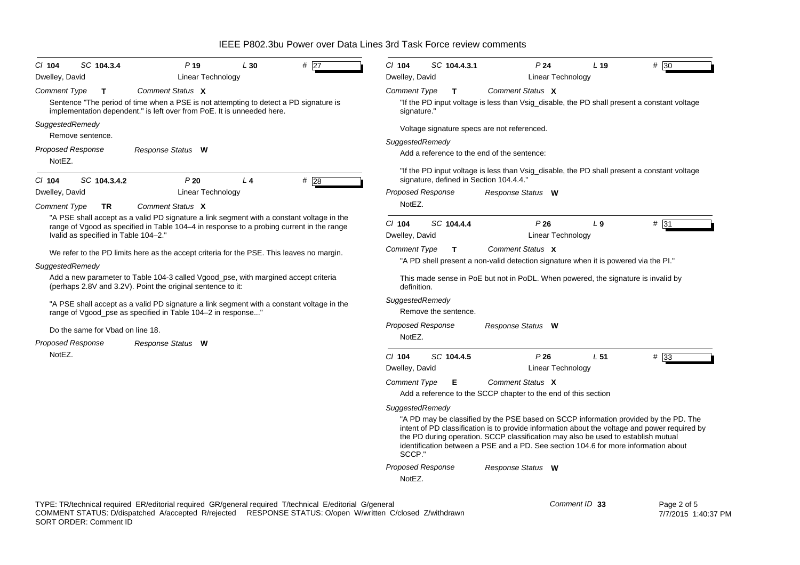| CI 104<br>Dwelley, David                                                                                                                                                                                                      | SC 104.3.4                                                                                                                                               | $P$ 19<br>Linear Technology                                                                                                                                     | L30            | #<br>27                                                                                          | $Cl$ 104<br>Dwelley, David                                                                                    | SC 104.4.3.1             | P <sub>24</sub><br>Linear Technology                                                                                                                                                                                                                                                                                                                              | L <sub>19</sub> | $# \overline{30}$ |  |  |
|-------------------------------------------------------------------------------------------------------------------------------------------------------------------------------------------------------------------------------|----------------------------------------------------------------------------------------------------------------------------------------------------------|-----------------------------------------------------------------------------------------------------------------------------------------------------------------|----------------|--------------------------------------------------------------------------------------------------|---------------------------------------------------------------------------------------------------------------|--------------------------|-------------------------------------------------------------------------------------------------------------------------------------------------------------------------------------------------------------------------------------------------------------------------------------------------------------------------------------------------------------------|-----------------|-------------------|--|--|
| <b>Comment Type</b>                                                                                                                                                                                                           | Т                                                                                                                                                        | Comment Status X                                                                                                                                                |                |                                                                                                  | <b>Comment Type</b>                                                                                           | T                        | Comment Status X                                                                                                                                                                                                                                                                                                                                                  |                 |                   |  |  |
|                                                                                                                                                                                                                               |                                                                                                                                                          | Sentence "The period of time when a PSE is not attempting to detect a PD signature is<br>implementation dependent." is left over from PoE. It is unneeded here. |                |                                                                                                  | signature."                                                                                                   |                          | "If the PD input voltage is less than Vsig_disable, the PD shall present a constant voltage                                                                                                                                                                                                                                                                       |                 |                   |  |  |
|                                                                                                                                                                                                                               | SuggestedRemedy<br>Remove sentence.<br>Proposed Response<br>Response Status W                                                                            |                                                                                                                                                                 |                |                                                                                                  | Voltage signature specs are not referenced.<br>SuggestedRemedy<br>Add a reference to the end of the sentence: |                          |                                                                                                                                                                                                                                                                                                                                                                   |                 |                   |  |  |
|                                                                                                                                                                                                                               |                                                                                                                                                          |                                                                                                                                                                 |                |                                                                                                  |                                                                                                               |                          |                                                                                                                                                                                                                                                                                                                                                                   |                 |                   |  |  |
| NotEZ.                                                                                                                                                                                                                        |                                                                                                                                                          |                                                                                                                                                                 |                |                                                                                                  |                                                                                                               |                          |                                                                                                                                                                                                                                                                                                                                                                   |                 |                   |  |  |
| CI 104                                                                                                                                                                                                                        | SC 104.3.4.2                                                                                                                                             | P20                                                                                                                                                             | L <sub>4</sub> | # $\overline{28}$                                                                                |                                                                                                               |                          | "If the PD input voltage is less than Vsig_disable, the PD shall present a constant voltage<br>signature, defined in Section 104.4.4."                                                                                                                                                                                                                            |                 |                   |  |  |
| Dwelley, David                                                                                                                                                                                                                |                                                                                                                                                          | Linear Technology                                                                                                                                               |                |                                                                                                  | Proposed Response                                                                                             |                          | Response Status W                                                                                                                                                                                                                                                                                                                                                 |                 |                   |  |  |
| Comment Type                                                                                                                                                                                                                  | TR                                                                                                                                                       | Comment Status X                                                                                                                                                |                |                                                                                                  | NotEZ.                                                                                                        |                          |                                                                                                                                                                                                                                                                                                                                                                   |                 |                   |  |  |
| "A PSE shall accept as a valid PD signature a link segment with a constant voltage in the<br>range of Vgood as specified in Table 104-4 in response to a probing current in the range<br>Ivalid as specified in Table 104-2." |                                                                                                                                                          |                                                                                                                                                                 |                | $CI$ 104<br>Dwelley, David                                                                       | SC 104.4.4                                                                                                    | P26<br>Linear Technology | $L_{9}$                                                                                                                                                                                                                                                                                                                                                           | # 31            |                   |  |  |
|                                                                                                                                                                                                                               |                                                                                                                                                          | We refer to the PD limits here as the accept criteria for the PSE. This leaves no margin.                                                                       |                |                                                                                                  | <b>Comment Type</b>                                                                                           | $\mathsf{T}$             | Comment Status X                                                                                                                                                                                                                                                                                                                                                  |                 |                   |  |  |
|                                                                                                                                                                                                                               |                                                                                                                                                          |                                                                                                                                                                 |                |                                                                                                  |                                                                                                               |                          | "A PD shell present a non-valid detection signature when it is powered via the PI."                                                                                                                                                                                                                                                                               |                 |                   |  |  |
| SuggestedRemedy<br>Add a new parameter to Table 104-3 called Vgood_pse, with margined accept criteria<br>(perhaps 2.8V and 3.2V). Point the original sentence to it:                                                          |                                                                                                                                                          |                                                                                                                                                                 |                | This made sense in PoE but not in PoDL. When powered, the signature is invalid by<br>definition. |                                                                                                               |                          |                                                                                                                                                                                                                                                                                                                                                                   |                 |                   |  |  |
|                                                                                                                                                                                                                               | "A PSE shall accept as a valid PD signature a link segment with a constant voltage in the<br>range of Vgood_pse as specified in Table 104-2 in response" |                                                                                                                                                                 |                |                                                                                                  | SuggestedRemedy<br>Remove the sentence.                                                                       |                          |                                                                                                                                                                                                                                                                                                                                                                   |                 |                   |  |  |
|                                                                                                                                                                                                                               | Do the same for Vbad on line 18.                                                                                                                         |                                                                                                                                                                 |                |                                                                                                  | <b>Proposed Response</b>                                                                                      |                          | Response Status W                                                                                                                                                                                                                                                                                                                                                 |                 |                   |  |  |
|                                                                                                                                                                                                                               | <b>Proposed Response</b>                                                                                                                                 | Response Status W                                                                                                                                               |                |                                                                                                  | NotEZ.                                                                                                        |                          |                                                                                                                                                                                                                                                                                                                                                                   |                 |                   |  |  |
| NotEZ.                                                                                                                                                                                                                        |                                                                                                                                                          |                                                                                                                                                                 |                |                                                                                                  | $Cl$ 104<br>Dwelley, David                                                                                    | SC 104.4.5               | P26<br>Linear Technology                                                                                                                                                                                                                                                                                                                                          | L <sub>51</sub> | #33               |  |  |
|                                                                                                                                                                                                                               |                                                                                                                                                          |                                                                                                                                                                 |                |                                                                                                  | <b>Comment Type</b>                                                                                           | Е                        | Comment Status X<br>Add a reference to the SCCP chapter to the end of this section                                                                                                                                                                                                                                                                                |                 |                   |  |  |
|                                                                                                                                                                                                                               |                                                                                                                                                          |                                                                                                                                                                 |                |                                                                                                  | SuggestedRemedy                                                                                               |                          |                                                                                                                                                                                                                                                                                                                                                                   |                 |                   |  |  |
|                                                                                                                                                                                                                               |                                                                                                                                                          |                                                                                                                                                                 |                |                                                                                                  | SCCP."                                                                                                        |                          | "A PD may be classified by the PSE based on SCCP information provided by the PD. The<br>intent of PD classification is to provide information about the voltage and power required by<br>the PD during operation. SCCP classification may also be used to establish mutual<br>identification between a PSE and a PD. See section 104.6 for more information about |                 |                   |  |  |
|                                                                                                                                                                                                                               |                                                                                                                                                          |                                                                                                                                                                 |                |                                                                                                  | Proposed Response                                                                                             |                          | Response Status W                                                                                                                                                                                                                                                                                                                                                 |                 |                   |  |  |
|                                                                                                                                                                                                                               |                                                                                                                                                          |                                                                                                                                                                 |                |                                                                                                  | NotEZ.                                                                                                        |                          |                                                                                                                                                                                                                                                                                                                                                                   |                 |                   |  |  |

TYPE: TR/technical required ER/editorial required GR/general required T/technical E/editorial G/general COMMENT STATUS: D/dispatched A/accepted R/rejected RESPONSE STATUS: O/open W/written C/closed Z/withdrawn SORT ORDER: Comment ID *Comment ID* **33**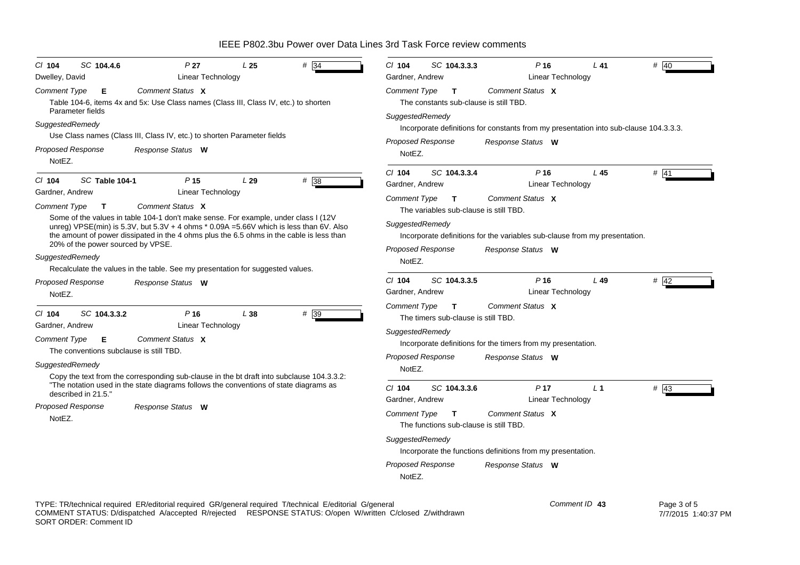| SC 104.4.6<br>P <sub>27</sub><br># 34<br>L <sub>25</sub><br>$Cl$ 104<br>Dwelley, David<br>Linear Technology                                                                                                                                                                                                                                                                                                                                                                                          | $Cl$ 104<br>SC 104.3.3.3<br>P <sub>16</sub><br># 40<br>L41<br>Linear Technology<br>Gardner, Andrew                                                                                                                                                                                                                                                                     |  |  |  |  |  |  |
|------------------------------------------------------------------------------------------------------------------------------------------------------------------------------------------------------------------------------------------------------------------------------------------------------------------------------------------------------------------------------------------------------------------------------------------------------------------------------------------------------|------------------------------------------------------------------------------------------------------------------------------------------------------------------------------------------------------------------------------------------------------------------------------------------------------------------------------------------------------------------------|--|--|--|--|--|--|
| Comment Status X<br><b>Comment Type</b><br>Е<br>Table 104-6, items 4x and 5x: Use Class names (Class III, Class IV, etc.) to shorten                                                                                                                                                                                                                                                                                                                                                                 | Comment Status X<br><b>Comment Type</b><br>$\mathbf{T}$<br>The constants sub-clause is still TBD.<br>SuggestedRemedy<br>Incorporate definitions for constants from my presentation into sub-clause 104.3.3.3.<br><b>Proposed Response</b><br>Response Status W<br>NotEZ.                                                                                               |  |  |  |  |  |  |
| Parameter fields<br>SuggestedRemedy<br>Use Class names (Class III, Class IV, etc.) to shorten Parameter fields<br><b>Proposed Response</b><br>Response Status W<br>NotEZ.                                                                                                                                                                                                                                                                                                                            |                                                                                                                                                                                                                                                                                                                                                                        |  |  |  |  |  |  |
| #38<br>SC Table 104-1<br>P <sub>15</sub><br>$CI$ 104<br>L29<br>Gardner, Andrew<br>Linear Technology<br>Comment Status X<br><b>Comment Type</b><br>$\mathbf{T}$<br>Some of the values in table 104-1 don't make sense. For example, under class I (12V<br>unreg) VPSE(min) is 5.3V, but 5.3V + 4 ohms * 0.09A = 5.66V which is less than 6V. Also<br>the amount of power dissipated in the 4 ohms plus the 6.5 ohms in the cable is less than<br>20% of the power sourced by VPSE.<br>SuggestedRemedy | L <sub>45</sub><br>$#$ 41<br>SC 104.3.3.4<br>P <sub>16</sub><br>$CI$ 104<br>Gardner, Andrew<br>Linear Technology<br>Comment Status X<br><b>Comment Type</b><br>T<br>The variables sub-clause is still TBD.<br>SuggestedRemedy<br>Incorporate definitions for the variables sub-clause from my presentation.<br><b>Proposed Response</b><br>Response Status W<br>NotEZ. |  |  |  |  |  |  |
| Recalculate the values in the table. See my presentation for suggested values.<br>Proposed Response<br>Response Status W<br>NotEZ.                                                                                                                                                                                                                                                                                                                                                                   | SC 104.3.3.5<br>P <sub>16</sub><br># 42<br>$Cl$ 104<br>$L$ 49<br>Linear Technology<br>Gardner, Andrew                                                                                                                                                                                                                                                                  |  |  |  |  |  |  |
| # 39<br>SC 104.3.3.2<br>P <sub>16</sub><br>L38<br>CI 104<br>Linear Technology<br>Gardner, Andrew<br>Comment Status X<br><b>Comment Type</b><br>Е<br>The conventions subclause is still TBD.<br>SuggestedRemedy<br>Copy the text from the corresponding sub-clause in the bt draft into subclause 104.3.3.2:                                                                                                                                                                                          | Comment Status X<br><b>Comment Type</b><br>$\mathbf{T}$<br>The timers sub-clause is still TBD.<br>SuggestedRemedy<br>Incorporate definitions for the timers from my presentation.<br>Proposed Response<br>Response Status W<br>NotEZ.                                                                                                                                  |  |  |  |  |  |  |
| "The notation used in the state diagrams follows the conventions of state diagrams as<br>described in 21.5."<br>Proposed Response<br>Response Status W<br>NotEZ.                                                                                                                                                                                                                                                                                                                                     | P <sub>17</sub><br>$Cl$ 104<br>SC 104.3.3.6<br>L <sub>1</sub><br>$\#$ 43<br>Linear Technology<br>Gardner, Andrew<br>Comment Status X<br>Comment Type<br>$\mathbf{T}$<br>The functions sub-clause is still TBD.<br>SuggestedRemedy<br>Incorporate the functions definitions from my presentation.<br><b>Proposed Response</b><br>Response Status W<br>NotEZ.            |  |  |  |  |  |  |

TYPE: TR/technical required ER/editorial required GR/general required T/technical E/editorial G/general COMMENT STATUS: D/dispatched A/accepted R/rejected RESPONSE STATUS: O/open W/written C/closed Z/withdrawn SORT ORDER: Comment ID *Comment ID* **43**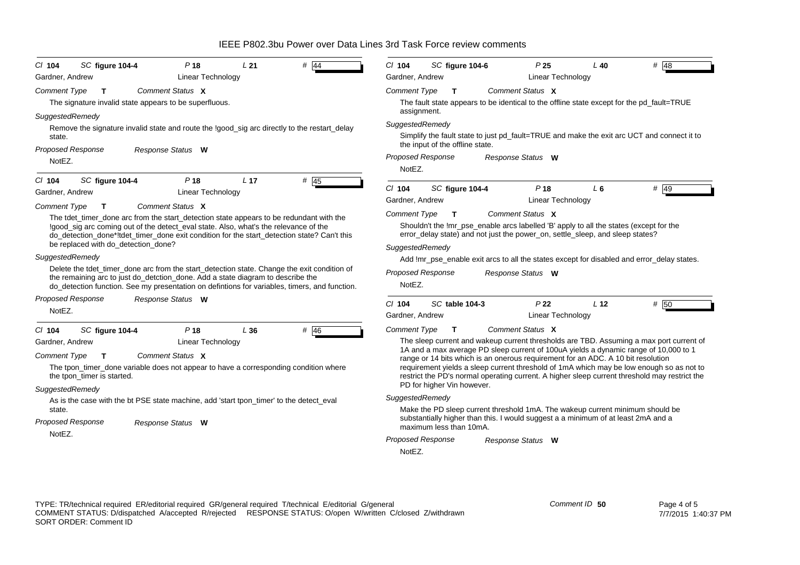| SC figure 104-4<br>$CI$ 104<br>P <sub>18</sub><br>L21<br># 44<br><b>Linear Technology</b><br>Gardner, Andrew                                                                                                                                                                                                                                                          | $Cl$ 104<br>SC figure 104-6<br>P <sub>25</sub><br>$#$ 48<br>L 40<br>Gardner, Andrew<br>Linear Technology                                                                                                                                                                                                                                                                                                                                                                                       |  |  |  |  |  |  |
|-----------------------------------------------------------------------------------------------------------------------------------------------------------------------------------------------------------------------------------------------------------------------------------------------------------------------------------------------------------------------|------------------------------------------------------------------------------------------------------------------------------------------------------------------------------------------------------------------------------------------------------------------------------------------------------------------------------------------------------------------------------------------------------------------------------------------------------------------------------------------------|--|--|--|--|--|--|
| <b>Comment Type</b><br>Comment Status X<br>$\mathbf{T}$<br>The signature invalid state appears to be superfluous.                                                                                                                                                                                                                                                     | <b>Comment Type</b><br>Comment Status X<br>$\mathbf{T}$<br>The fault state appears to be identical to the offline state except for the pd_fault=TRUE<br>assignment.                                                                                                                                                                                                                                                                                                                            |  |  |  |  |  |  |
| SuggestedRemedy<br>Remove the signature invalid state and route the !good_sig arc directly to the restart_delay<br>state.<br><b>Proposed Response</b><br>Response Status W                                                                                                                                                                                            | SuggestedRemedy<br>Simplify the fault state to just pd_fault=TRUE and make the exit arc UCT and connect it to<br>the input of the offline state.<br><b>Proposed Response</b><br>Response Status W                                                                                                                                                                                                                                                                                              |  |  |  |  |  |  |
| NotEZ.                                                                                                                                                                                                                                                                                                                                                                | NotEZ.                                                                                                                                                                                                                                                                                                                                                                                                                                                                                         |  |  |  |  |  |  |
| $#$ 45<br>C/ 104<br>P <sub>18</sub><br>L <sub>17</sub><br>SC figure 104-4<br><b>Linear Technology</b><br>Gardner, Andrew                                                                                                                                                                                                                                              | $#$ 49<br>$Cl$ 104<br>SC figure 104-4<br>P <sub>18</sub><br>L <sub>6</sub><br>Gardner, Andrew<br><b>Linear Technology</b>                                                                                                                                                                                                                                                                                                                                                                      |  |  |  |  |  |  |
| <b>Comment Type</b><br>Comment Status X<br>T<br>The tdet_timer_done arc from the start_detection state appears to be redundant with the<br>!good_sig arc coming out of the detect_eval state. Also, what's the relevance of the<br>do_detection_done*!tdet_timer_done exit condition for the start_detection state? Can't this<br>be replaced with do_detection_done? | Comment Status X<br><b>Comment Type</b><br>$\mathsf{T}$<br>Shouldn't the !mr_pse_enable arcs labelled 'B' apply to all the states (except for the<br>error_delay state) and not just the power_on, settle_sleep, and sleep states?<br>SuggestedRemedy                                                                                                                                                                                                                                          |  |  |  |  |  |  |
| SuggestedRemedy                                                                                                                                                                                                                                                                                                                                                       | Add !mr_pse_enable exit arcs to all the states except for disabled and error_delay states.                                                                                                                                                                                                                                                                                                                                                                                                     |  |  |  |  |  |  |
| Delete the tdet_timer_done arc from the start_detection state. Change the exit condition of<br>the remaining arc to just do_detction_done. Add a state diagram to describe the<br>do_detection function. See my presentation on defintions for variables, timers, and function.                                                                                       | <b>Proposed Response</b><br>Response Status W<br>NotEZ.                                                                                                                                                                                                                                                                                                                                                                                                                                        |  |  |  |  |  |  |
| <b>Proposed Response</b><br>Response Status W                                                                                                                                                                                                                                                                                                                         | P <sub>22</sub><br>L <sub>12</sub><br># 50<br>$CI$ 104<br>SC table 104-3                                                                                                                                                                                                                                                                                                                                                                                                                       |  |  |  |  |  |  |
| NotEZ.                                                                                                                                                                                                                                                                                                                                                                | Gardner, Andrew<br><b>Linear Technology</b>                                                                                                                                                                                                                                                                                                                                                                                                                                                    |  |  |  |  |  |  |
| # 46<br>SC figure 104-4<br>P <sub>18</sub><br>L36<br>$Cl$ 104                                                                                                                                                                                                                                                                                                         | <b>Comment Type</b><br>Comment Status X<br>$\mathbf{T}$                                                                                                                                                                                                                                                                                                                                                                                                                                        |  |  |  |  |  |  |
| Gardner, Andrew<br><b>Linear Technology</b><br>Comment Status X<br><b>Comment Type</b><br>$\mathbf{T}$<br>The tpon_timer_done variable does not appear to have a corresponding condition where<br>the tpon timer is started.<br>SuggestedRemedy                                                                                                                       | The sleep current and wakeup current thresholds are TBD. Assuming a max port current of<br>1A and a max average PD sleep current of 100uA yields a dynamic range of 10,000 to 1<br>range or 14 bits which is an onerous requirement for an ADC. A 10 bit resolution<br>requirement yields a sleep current threshold of 1mA which may be low enough so as not to<br>restrict the PD's normal operating current. A higher sleep current threshold may restrict the<br>PD for higher Vin however. |  |  |  |  |  |  |
| As is the case with the bt PSE state machine, add 'start tpon_timer' to the detect_eval                                                                                                                                                                                                                                                                               | SuggestedRemedy                                                                                                                                                                                                                                                                                                                                                                                                                                                                                |  |  |  |  |  |  |
| state.<br><b>Proposed Response</b><br>Response Status W                                                                                                                                                                                                                                                                                                               | Make the PD sleep current threshold 1mA. The wakeup current minimum should be<br>substantially higher than this. I would suggest a a minimum of at least 2mA and a<br>maximum less than 10mA.                                                                                                                                                                                                                                                                                                  |  |  |  |  |  |  |
| NotEZ.                                                                                                                                                                                                                                                                                                                                                                | <b>Proposed Response</b><br>Response Status W<br>NotEZ.                                                                                                                                                                                                                                                                                                                                                                                                                                        |  |  |  |  |  |  |